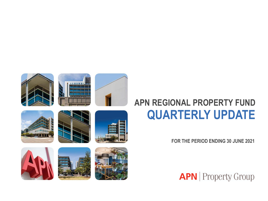



**FOR THE PERIOD ENDING 30 JUNE 2021**





**APN** | Property Group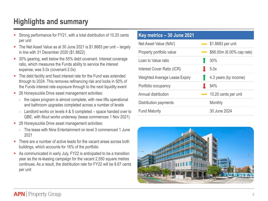# **Highlights and summary**

- Strong performance for FY21, with a total distribution of 10.20 cents per unit
- The Net Asset Value as at 30 June 2021 is \$1.8683 per unit largely in line with 31 December 2020 (\$1.8822)
- 30% gearing, well below the 55% debt covenant. Interest coverage ratio, which measures the Funds ability to service the interest expense, was 5.0x (covenant 2.0x)
- The debt facility and fixed interest rate for the Fund was extended through to 2024. This removes refinancing risk and locks in 50% of the Funds interest rate exposure through to the next liquidity event
- 26 Honeysuckle Drive asset management activities:
	- the capex program is almost complete, with new lifts operational and bathroom upgrades completed across a number of levels
	- Landlord works on levels 4 & 5 completed space handed over to QBE, with fitout works underway (lease commences 1 Nov 2021)
- 28 Honeysuckle Drive asset management activities:
	- The lease with Nine Entertainment on level 3 commenced 1 June 2021
- There are a number of active leads for the vacant areas across both buildings, which accounts for 16% of the portfolio
- As communicated in early July, FY22 is anticipated to be a transition year as the re-leasing campaign for the vacant 2,550 square metres continues. As a result, the distribution rate for FY22 will be 8.67 cents per unit

| Key metrics - 30 June 2021    |                            |                            |
|-------------------------------|----------------------------|----------------------------|
| Net Asset Value (NAV)         |                            | $\equiv$ \$1.8683 per unit |
| Property portfolio value      | $\mathcal{L}_{\text{max}}$ | \$66.00m (6.00% cap rate)  |
| Loan to Value ratio           |                            | 30%                        |
| Interest Cover Ratio (ICR)    |                            | 5.0x                       |
| Weighted Average Lease Expiry |                            | 4.3 years (by income)      |
| Portfolio occupancy           |                            | 84%                        |
| Annual distribution           |                            | 10.20 cents per unit       |
| Distribution payments         |                            | Monthly                    |
| <b>Fund Maturity</b>          |                            | 30 June 2024               |

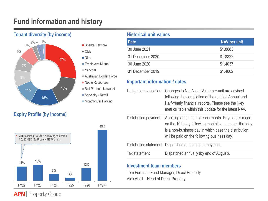# **Fund information and history**



## **Expiry Profile (by income)**



■ Sparke Helmore

 $\blacksquare$  QBE

■ Nine **Employers Mutual** 

Yancoal

- Australian Border Force
- Noble Resources
- **Bell Partners Newcastle**
- Specialty Retail
- **Monthly Car Parking**

| <b>Date</b>      | NAV per unit |
|------------------|--------------|
| 30 June 2021     | \$1.8683     |
| 31 December 2020 | \$1.8822     |
| 30 June 2020     | \$1.4037     |
| 31 December 2019 | \$1.4062     |

## **Important information / dates**

| Unit price revaluation | Changes to Net Asset Value per unit are advised<br>following the completion of the audited Annual and<br>Half-Yearly financial reports. Please see the 'Key<br>metrics' table within this update for the latest NAV. |
|------------------------|----------------------------------------------------------------------------------------------------------------------------------------------------------------------------------------------------------------------|
| Distribution payment   | Accruing at the end of each month. Payment is made<br>on the 10th day following month's end unless that day<br>is a non-business day in which case the distribution<br>will be paid on the following business day.   |
|                        | Distribution statement Dispatched at the time of payment.                                                                                                                                                            |
| Tax statement          | Dispatched annually (by end of August).                                                                                                                                                                              |

## **Investment team members**

Tom Forrest – Fund Manager, Direct Property Alex Abell – Head of Direct Property

**APN** Property Group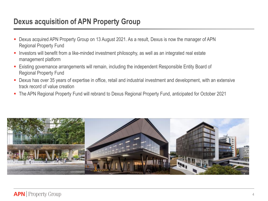# **Dexus acquisition of APN Property Group**

- Dexus acquired APN Property Group on 13 August 2021. As a result, Dexus is now the manager of APN Regional Property Fund
- Investors will benefit from a like-minded investment philosophy, as well as an integrated real estate management platform
- Existing governance arrangements will remain, including the independent Responsible Entity Board of Regional Property Fund
- Dexus has over 35 years of expertise in office, retail and industrial investment and development, with an extensive track record of value creation
- The APN Regional Property Fund will rebrand to Dexus Regional Property Fund, anticipated for October 2021